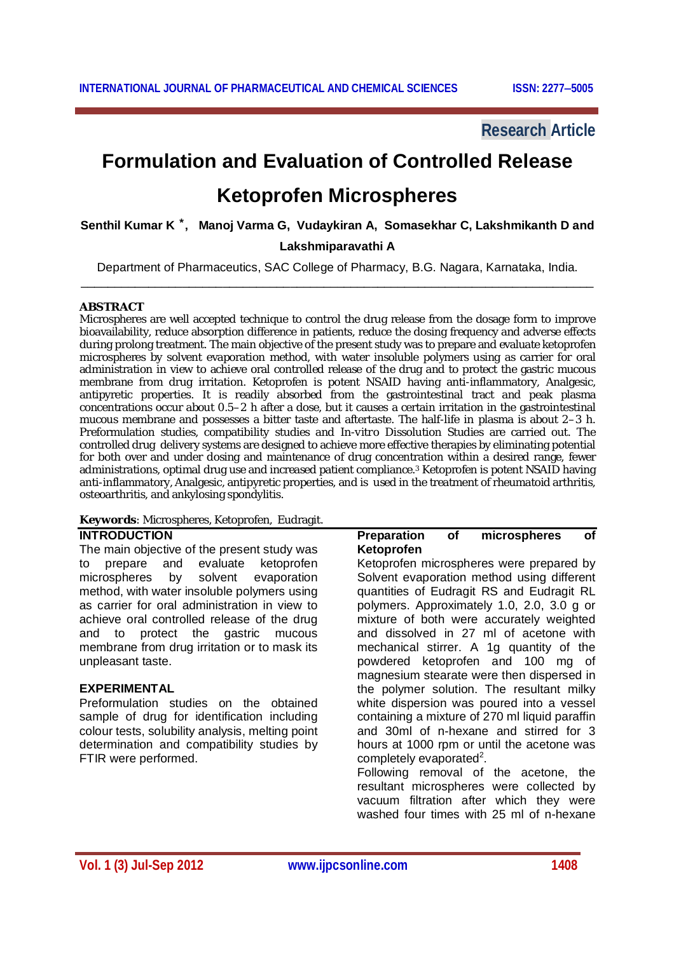### **Research Article**

# **Formulation and Evaluation of Controlled Release**

## **Ketoprofen Microspheres**

**Senthil Kumar K ⃰ , Manoj Varma G, Vudaykiran A, Somasekhar C, Lakshmikanth D and** 

#### **Lakshmiparavathi A**

Department of Pharmaceutics, SAC College of Pharmacy, B.G. Nagara, Karnataka, India. \_\_\_\_\_\_\_\_\_\_\_\_\_\_\_\_\_\_\_\_\_\_\_\_\_\_\_\_\_\_\_\_\_\_\_\_\_\_\_\_\_\_\_\_\_\_\_\_\_\_\_\_\_\_\_\_\_\_\_\_\_\_\_\_\_\_\_\_\_\_\_\_\_\_\_\_

#### **ABSTRACT**

Microspheres are well accepted technique to control the drug release from the dosage form to improve bioavailability, reduce absorption difference in patients, reduce the dosing frequency and adverse effects during prolong treatment. The main objective of the present study was to prepare and evaluate ketoprofen microspheres by solvent evaporation method, with water insoluble polymers using as carrier for oral administration in view to achieve oral controlled release of the drug and to protect the gastric mucous membrane from drug irritation. Ketoprofen is potent NSAID having anti-inflammatory, Analgesic, antipyretic properties. It is readily absorbed from the gastrointestinal tract and peak plasma concentrations occur about 0.5–2 h after a dose, but it causes a certain irritation in the gastrointestinal mucous membrane and possesses a bitter taste and aftertaste. The half-life in plasma is about 2–3 h. Preformulation studies, compatibility studies and *In-vitro* Dissolution Studies are carried out. The controlled drug delivery systems are designed to achieve more effective therapies by eliminating potential for both over and under dosing and maintenance of drug concentration within a desired range, fewer administrations, optimal drug use and increased patient compliance.<sup>3</sup> Ketoprofen is potent NSAID having anti-inflammatory, Analgesic, antipyretic properties, and is used in the treatment of rheumatoid arthritis, osteoarthritis, and ankylosing spondylitis.

#### **Keywords**: Microspheres, Ketoprofen, Eudragit.

#### **INTRODUCTION**

The main objective of the present study was to prepare and evaluate ketoprofen<br>microspheres by solvent evaporation solvent evaporation method, with water insoluble polymers using as carrier for oral administration in view to achieve oral controlled release of the drug and to protect the gastric mucous membrane from drug irritation or to mask its unpleasant taste.

#### **EXPERIMENTAL**

Preformulation studies on the obtained sample of drug for identification including colour tests, solubility analysis, melting point determination and compatibility studies by FTIR were performed.

#### **Preparation of microspheres of Ketoprofen**

Ketoprofen microspheres were prepared by Solvent evaporation method using different quantities of Eudragit RS and Eudragit RL polymers. Approximately 1.0, 2.0, 3.0 g or mixture of both were accurately weighted and dissolved in 27 ml of acetone with mechanical stirrer. A 1g quantity of the powdered ketoprofen and 100 mg of magnesium stearate were then dispersed in the polymer solution. The resultant milky white dispersion was poured into a vessel containing a mixture of 270 ml liquid paraffin and 30ml of n-hexane and stirred for 3 hours at 1000 rpm or until the acetone was completely evaporated<sup>2</sup>.

Following removal of the acetone, the resultant microspheres were collected by vacuum filtration after which they were washed four times with 25 ml of n-hexane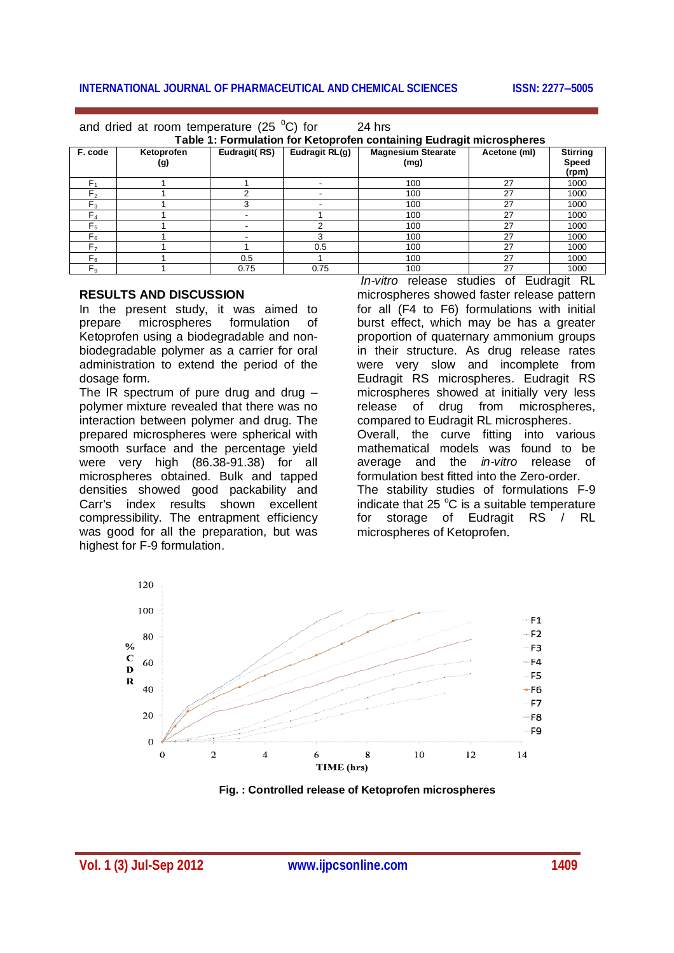#### **INTERNATIONAL JOURNAL OF PHARMACEUTICAL AND CHEMICAL SCIENCES ISSN: 2277-5005**

| and dried at room temperature (25 $\degree$ C) for                   |                   |              |                | 24 hrs                            |              |                                   |
|----------------------------------------------------------------------|-------------------|--------------|----------------|-----------------------------------|--------------|-----------------------------------|
| Table 1: Formulation for Ketoprofen containing Eudragit microspheres |                   |              |                |                                   |              |                                   |
| F. code                                                              | Ketoprofen<br>(g) | Eudragit(RS) | Eudragit RL(g) | <b>Magnesium Stearate</b><br>(mg) | Acetone (ml) | <b>Stirring</b><br>Speed<br>(rpm) |
| F <sub>1</sub>                                                       |                   |              |                | 100                               | 27           | 1000                              |
| F <sub>2</sub>                                                       |                   |              |                | 100                               | 27           | 1000                              |
| $F_3$                                                                |                   | 3            |                | 100                               | 27           | 1000                              |
| $F_A$                                                                |                   |              |                | 100                               | 27           | 1000                              |
| F <sub>5</sub>                                                       |                   |              | ◠              | 100                               | 27           | 1000                              |
| $F_6$                                                                |                   |              | 3              | 100                               | 27           | 1000                              |
| F <sub>7</sub>                                                       |                   |              | 0.5            | 100                               | 27           | 1000                              |
| $F_{8}$                                                              |                   | 0.5          |                | 100                               | 27           | 1000                              |
| $F_{9}$                                                              |                   | 0.75         | 0.75           | 100                               | 27           | 1000                              |

#### **RESULTS AND DISCUSSION**

In the present study, it was aimed to prepare microspheres formulation of Ketoprofen using a biodegradable and nonbiodegradable polymer as a carrier for oral administration to extend the period of the dosage form.

The  $IR$  spectrum of pure drug and drug  $$ polymer mixture revealed that there was no interaction between polymer and drug. The prepared microspheres were spherical with smooth surface and the percentage yield were very high (86.38-91.38) for all microspheres obtained. Bulk and tapped densities showed good packability and Carr's index results shown excellent compressibility. The entrapment efficiency was good for all the preparation, but was highest for F-9 formulation.

*In-vitro* release studies of Eudragit RL microspheres showed faster release pattern for all (F4 to F6) formulations with initial burst effect, which may be has a greater proportion of quaternary ammonium groups in their structure. As drug release rates were very slow and incomplete from Eudragit RS microspheres. Eudragit RS microspheres showed at initially very less release of drug from microspheres, compared to Eudragit RL microspheres. Overall, the curve fitting into various mathematical models was found to be average and the *in-vitro* release of formulation best fitted into the Zero-order. The stability studies of formulations F-9 indicate that  $25^{\circ}$ C is a suitable temperature for storage of Eudragit RS / RL microspheres of Ketoprofen.



**Fig. : Controlled release of Ketoprofen microspheres**